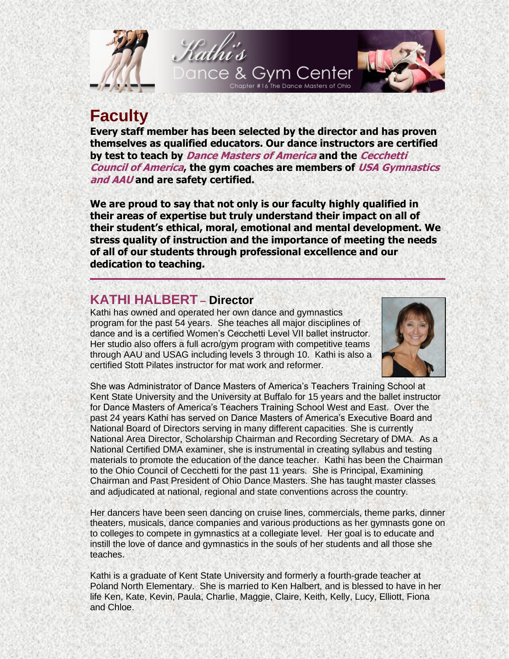

# **Faculty**

**Every staff member has been selected by the director and has proven themselves as qualified educators. Our dance instructors are certified by test to teach by Dance Masters of America and the Cecchetti Council of America, the gym coaches are members of USA Gymnastics and AAU and are safety certified.**

**We are proud to say that not only is our faculty highly qualified in their areas of expertise but truly understand their impact on all of their student's ethical, moral, emotional and mental development. We stress quality of instruction and the importance of meeting the needs of all of our students through professional excellence and our dedication to teaching.**

# **KATHI HALBERT – Director**

Kathi has owned and operated her own dance and gymnastics program for the past 54 years. She teaches all major disciplines of dance and is a certified Women's Cecchetti Level VII ballet instructor. Her studio also offers a full acro/gym program with competitive teams through AAU and USAG including levels 3 through 10. Kathi is also a certified Stott Pilates instructor for mat work and reformer.



She was Administrator of Dance Masters of America's Teachers Training School at Kent State University and the University at Buffalo for 15 years and the ballet instructor for Dance Masters of America's Teachers Training School West and East. Over the past 24 years Kathi has served on Dance Masters of America's Executive Board and National Board of Directors serving in many different capacities. She is currently National Area Director, Scholarship Chairman and Recording Secretary of DMA. As a National Certified DMA examiner, she is instrumental in creating syllabus and testing materials to promote the education of the dance teacher. Kathi has been the Chairman to the Ohio Council of Cecchetti for the past 11 years. She is Principal, Examining Chairman and Past President of Ohio Dance Masters. She has taught master classes and adjudicated at national, regional and state conventions across the country.

Her dancers have been seen dancing on cruise lines, commercials, theme parks, dinner theaters, musicals, dance companies and various productions as her gymnasts gone on to colleges to compete in gymnastics at a collegiate level. Her goal is to educate and instill the love of dance and gymnastics in the souls of her students and all those she teaches.

Kathi is a graduate of Kent State University and formerly a fourth-grade teacher at Poland North Elementary. She is married to Ken Halbert, and is blessed to have in her life Ken, Kate, Kevin, Paula, Charlie, Maggie, Claire, Keith, Kelly, Lucy, Elliott, Fiona and Chloe.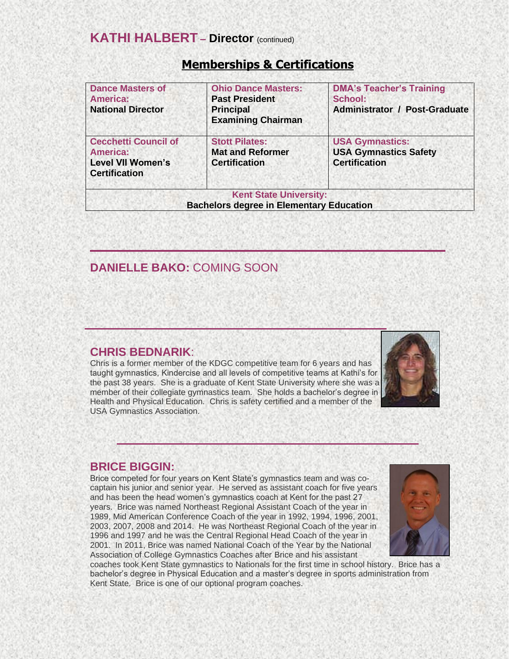| <b>Dance Masters of</b><br><b>America:</b><br><b>National Director</b>                             | <b>Ohio Dance Masters:</b><br><b>Past President</b><br><b>Principal</b><br><b>Examining Chairman</b> | <b>DMA's Teacher's Training</b><br>School:<br><b>Administrator / Post-Graduate</b> |
|----------------------------------------------------------------------------------------------------|------------------------------------------------------------------------------------------------------|------------------------------------------------------------------------------------|
| <b>Cecchetti Council of</b><br><b>America:</b><br><b>Level VII Women's</b><br><b>Certification</b> | <b>Stott Pilates:</b><br><b>Mat and Reformer</b><br><b>Certification</b>                             | <b>USA Gymnastics:</b><br><b>USA Gymnastics Safety</b><br><b>Certification</b>     |
|                                                                                                    | <b>Kent State University:</b><br><b>Bachelors degree in Elementary Education</b>                     |                                                                                    |

# **Memberships & Certifications**

# **DANIELLE BAKO:** COMING SOON

### **CHRIS BEDNARIK**:

Chris is a former member of the KDGC competitive team for 6 years and has taught gymnastics, Kindercise and all levels of competitive teams at Kathi's for the past 38 years. She is a graduate of Kent State University where she was a member of their collegiate gymnastics team. She holds a bachelor's degree in Health and Physical Education. Chris is safety certified and a member of the USA Gymnastics Association.



### **BRICE BIGGIN:**

Brice competed for four years on Kent State's gymnastics team and was cocaptain his junior and senior year. He served as assistant coach for five years and has been the head women's gymnastics coach at Kent for the past 27 years. Brice was named Northeast Regional Assistant Coach of the year in 1989, Mid American Conference Coach of the year in 1992, 1994, 1996, 2001, 2003, 2007, 2008 and 2014. He was Northeast Regional Coach of the year in 1996 and 1997 and he was the Central Regional Head Coach of the year in 2001. In 2011, Brice was named National Coach of the Year by the National Association of College Gymnastics Coaches after Brice and his assistant



coaches took Kent State gymnastics to Nationals for the first time in school history. Brice has a bachelor's degree in Physical Education and a master's degree in sports administration from Kent State. Brice is one of our optional program coaches.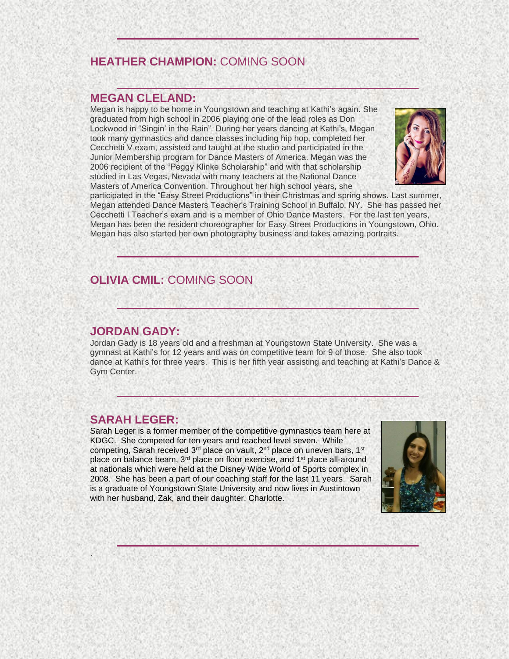# **HEATHER CHAMPION:** COMING SOON

#### **MEGAN CLELAND:**

Megan is happy to be home in Youngstown and teaching at Kathi's again. She graduated from high school in 2006 playing one of the lead roles as Don Lockwood in "Singin' in the Rain". During her years dancing at Kathi's, Megan took many gymnastics and dance classes including hip hop, completed her Cecchetti V exam, assisted and taught at the studio and participated in the Junior Membership program for Dance Masters of America. Megan was the 2006 recipient of the "Peggy Klinke Scholarship" and with that scholarship studied in Las Vegas, Nevada with many teachers at the National Dance Masters of America Convention. Throughout her high school years, she



participated in the "Easy Street Productions" in their Christmas and spring shows. Last summer, Megan attended Dance Masters Teacher's Training School in Buffalo, NY. She has passed her Cecchetti I Teacher's exam and is a member of Ohio Dance Masters. For the last ten years, Megan has been the resident choreographer for Easy Street Productions in Youngstown, Ohio. Megan has also started her own photography business and takes amazing portraits.

# **OLIVIA CMIL:** COMING SOON

#### **JORDAN GADY:**

Jordan Gady is 18 years old and a freshman at Youngstown State University. She was a gymnast at Kathi's for 12 years and was on competitive team for 9 of those. She also took dance at Kathi's for three years. This is her fifth year assisting and teaching at Kathi's Dance & Gym Center.

### **SARAH LEGER:**

.

Sarah Leger is a former member of the competitive gymnastics team here at KDGC. She competed for ten years and reached level seven. While competing, Sarah received 3<sup>rd</sup> place on vault, 2<sup>nd</sup> place on uneven bars, 1<sup>st</sup> place on balance beam, 3<sup>rd</sup> place on floor exercise, and 1<sup>st</sup> place all-around at nationals which were held at the Disney Wide World of Sports complex in 2008. She has been a part of our coaching staff for the last 11 years. Sarah is a graduate of Youngstown State University and now lives in Austintown with her husband, Zak, and their daughter, Charlotte.

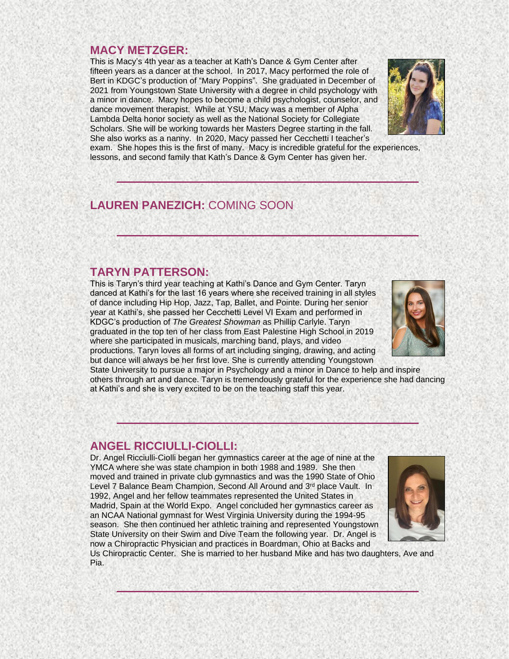### **MACY METZGER:**

This is Macy's 4th year as a teacher at Kath's Dance & Gym Center after fifteen years as a dancer at the school. In 2017, Macy performed the role of Bert in KDGC's production of "Mary Poppins". She graduated in December of 2021 from Youngstown State University with a degree in child psychology with a minor in dance. Macy hopes to become a child psychologist, counselor, and dance movement therapist. While at YSU, Macy was a member of Alpha Lambda Delta honor society as well as the National Society for Collegiate Scholars. She will be working towards her Masters Degree starting in the fall. She also works as a nanny. In 2020, Macy passed her Cecchetti I teacher's



exam. She hopes this is the first of many. Macy is incredible grateful for the experiences, lessons, and second family that Kath's Dance & Gym Center has given her.

# **LAUREN PANEZICH:** COMING SOON

#### **TARYN PATTERSON:**

This is Taryn's third year teaching at Kathi's Dance and Gym Center. Taryn danced at Kathi's for the last 16 years where she received training in all styles of dance including Hip Hop, Jazz, Tap, Ballet, and Pointe. During her senior year at Kathi's, she passed her Cecchetti Level VI Exam and performed in KDGC's production of *The Greatest Showman* as Phillip Carlyle. Taryn graduated in the top ten of her class from East Palestine High School in 2019 where she participated in musicals, marching band, plays, and video productions. Taryn loves all forms of art including singing, drawing, and acting but dance will always be her first love. She is currently attending Youngstown



State University to pursue a major in Psychology and a minor in Dance to help and inspire others through art and dance. Taryn is tremendously grateful for the experience she had dancing at Kathi's and she is very excited to be on the teaching staff this year.

#### **ANGEL RICCIULLI-CIOLLI:**

Dr. Angel Ricciulli-Ciolli began her gymnastics career at the age of nine at the YMCA where she was state champion in both 1988 and 1989. She then moved and trained in private club gymnastics and was the 1990 State of Ohio Level 7 Balance Beam Champion, Second All Around and 3<sup>rd</sup> place Vault. In 1992, Angel and her fellow teammates represented the United States in Madrid, Spain at the World Expo. Angel concluded her gymnastics career as an NCAA National gymnast for West Virginia University during the 1994-95 season. She then continued her athletic training and represented Youngstown State University on their Swim and Dive Team the following year. Dr. Angel is now a Chiropractic Physician and practices in Boardman, Ohio at Backs and



Us Chiropractic Center. She is married to her husband Mike and has two daughters, Ave and Pia.